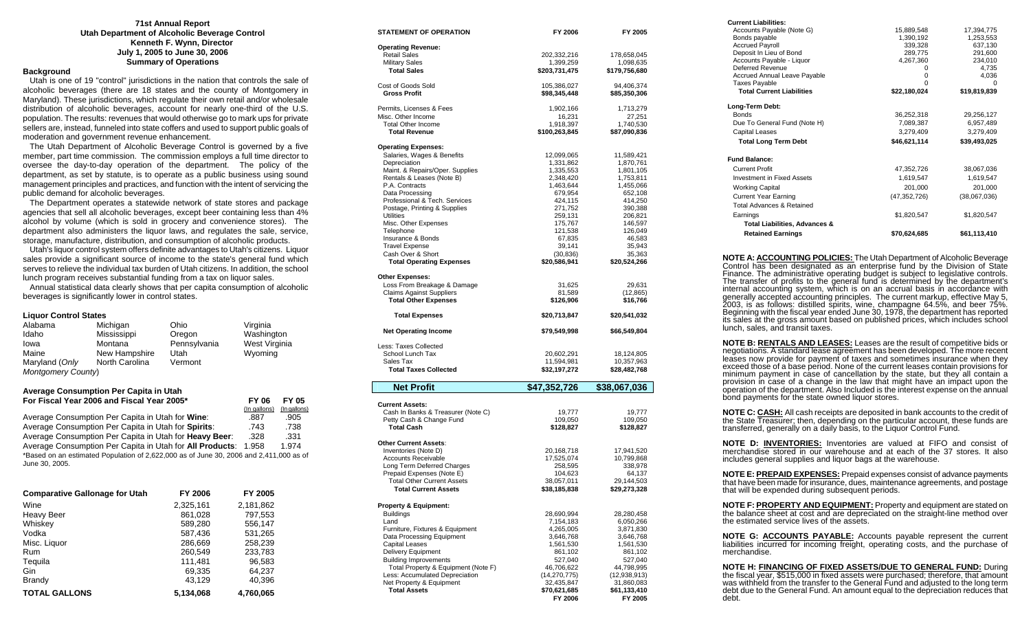#### **71st Annual Report Utah Department of Alcoholic Beverage Control Kenneth F. Wynn, Director July 1, 2005 to June 30, 2006 Summary of Operations**

### **Background**

 Utah is one of 19 "control" jurisdictions in the nation that controls the sale of alcoholic beverages (there are 18 states and the county of Montgomery in Maryland). These jurisdictions, which regulate their own retail and/or wholesale distribution of alcoholic beverages, account for nearly one-third of the U.S. population. The results: revenues that would otherwise go to mark ups for private sellers are, instead, funneled into state coffers and used to support public goals of moderation and government revenue enhancement.

 The Utah Department of Alcoholic Beverage Control is governed by a five member, part time commission. The commission employs a full time director to oversee the day-to-day operation of the department. The policy of the department, as set by statute, is to operate as a public business using sound management principles and practices, and function with the intent of servicing the public demand for alcoholic beverages.

 The Department operates a statewide network of state stores and package agencies that sell all alcoholic beverages, except beer containing less than 4% alcohol by volume (which is sold in grocery and convenience stores). The department also administers the liquor laws, and regulates the sale, service, storage, manufacture, distribution, and consumption of alcoholic products.

 Utah's liquor control system offers definite advantages to Utah's citizens. Liquor sales provide a significant source of income to the state's general fund which serves to relieve the individual tax burden of Utah citizens. In addition, the school lunch program receives substantial funding from a tax on liquor sales.

 Annual statistical data clearly shows that per capita consumption of alcoholic beverages is significantly lower in control states.

#### **Liquor Control States**

| Alabama                   | Michigan       | Ohio         | Virginia      |
|---------------------------|----------------|--------------|---------------|
| Idaho                     | Mississippi    | Oregon       | Washington    |
| Iowa                      | Montana        | Pennsylvania | West Virginia |
| Maine                     | New Hampshire  | Utah         | Wyoming       |
| Maryland (Only            | North Carolina | Vermont      |               |
| <b>Montgomery County)</b> |                |              |               |

#### **Average Consumption Per Capita in Utah For Fiscal Year 2006 and Fiscal Year 2005\* FY 06 FY 05**

|                                                                                        | (In gallons) | (In gallons) |
|----------------------------------------------------------------------------------------|--------------|--------------|
| Average Consumption Per Capita in Utah for Wine:                                       | .887         | .905         |
| Average Consumption Per Capita in Utah for Spirits:                                    | .743         | .738         |
| Average Consumption Per Capita in Utah for Heavy Beer:                                 | .328         | .331         |
| Average Consumption Per Capita in Utah for All Products: 1.958                         |              | 1.974        |
| *Based on an estimated Population of 2,622,000 as of June 30, 2006 and 2,411,000 as of |              |              |
| June 30, 2005.                                                                         |              |              |

| <b>Comparative Gallonage for Utah</b> | FY 2006   | FY 2005   |
|---------------------------------------|-----------|-----------|
| Wine                                  | 2,325,161 | 2,181,862 |
| <b>Heavy Beer</b>                     | 861,028   | 797.553   |
| Whiskey                               | 589,280   | 556,147   |
| Vodka                                 | 587.436   | 531,265   |
| Misc. Liquor                          | 286,669   | 258,239   |
| Rum                                   | 260.549   | 233,783   |
| Tequila                               | 111.481   | 96,583    |
| Gin                                   | 69,335    | 64,237    |
| <b>Brandy</b>                         | 43,129    | 40.396    |
| <b>TOTAL GALLONS</b>                  | 5.134.068 | 4.760.065 |

| STATEMENT OF OPERATION                                         | FY 2006                  | FY 2005                  |
|----------------------------------------------------------------|--------------------------|--------------------------|
| <b>Operating Revenue:</b>                                      |                          |                          |
| <b>Retail Sales</b>                                            | 202,332,216              | 178,658,045              |
| <b>Military Sales</b>                                          | 1,399,259                | 1,098,635                |
| <b>Total Sales</b>                                             | \$203,731,475            | \$179,756,680            |
| Cost of Goods Sold                                             | 105,386,027              | 94,406,374               |
| <b>Gross Profit</b>                                            | \$98,345,448             | \$85,350,306             |
| Permits, Licenses & Fees                                       | 1,902,166                | 1,713,279                |
| Misc. Other Income                                             | 16,231                   | 27,251                   |
| <b>Total Other Income</b>                                      | 1,918,397                | 1,740,530                |
| <b>Total Revenue</b>                                           | \$100,263,845            | \$87,090,836             |
| <b>Operating Expenses:</b>                                     |                          |                          |
| Salaries, Wages & Benefits                                     | 12,099,065               | 11,589,421               |
| Depreciation                                                   | 1,331,862                | 1,870,761                |
| Maint. & Repairs/Oper. Supplies<br>Rentals & Leases (Note B)   | 1,335,553<br>2,348,420   | 1,801,105<br>1,753,811   |
| P.A. Contracts                                                 | 1,463,644                | 1,455,066                |
| Data Processing                                                | 679,954                  | 652,108                  |
| Professional & Tech. Services                                  | 424,115                  | 414,250                  |
| Postage, Printing & Supplies                                   | 271,752                  | 390,388                  |
| Utilities                                                      | 259,131                  | 206,821                  |
| Misc. Other Expenses                                           | 175,767                  | 146,597                  |
| Telephone                                                      | 121,538                  | 126,049                  |
| Insurance & Bonds                                              | 67,835                   | 46,583                   |
| <b>Travel Expense</b><br>Cash Over & Short                     | 39,141<br>(30, 836)      | 35.943<br>35,363         |
| <b>Total Operating Expenses</b>                                | \$20,586,941             | \$20,524,266             |
|                                                                |                          |                          |
| <b>Other Expenses:</b>                                         |                          |                          |
| Loss From Breakage & Damage                                    | 31,625                   | 29,631                   |
| <b>Claims Against Suppliers</b><br><b>Total Other Expenses</b> | 81,589<br>\$126,906      | (12, 865)<br>\$16,766    |
|                                                                |                          |                          |
| <b>Total Expenses</b>                                          | \$20,713,847             | \$20,541,032             |
| <b>Net Operating Income</b>                                    | \$79,549,998             | \$66,549,804             |
| Less: Taxes Collected                                          |                          |                          |
| School Lunch Tax                                               | 20,602,291               | 18,124,805               |
| Sales Tax                                                      | 11,594,981               | 10,357,963               |
| <b>Total Taxes Collected</b>                                   | \$32,197,272             | \$28,482,768             |
| <b>Net Profit</b>                                              | \$47,352,726             | \$38,067,036             |
|                                                                |                          |                          |
| <b>Current Assets:</b><br>Cash In Banks & Treasurer (Note C)   | 19,777                   | 19,777                   |
| Petty Cash & Change Fund                                       | 109,050                  | 109,050                  |
| <b>Total Cash</b>                                              | \$128,827                | \$128,827                |
|                                                                |                          |                          |
| <b>Other Current Assets:</b>                                   |                          |                          |
| Inventories (Note D)<br><b>Accounts Receivable</b>             | 20,168,718<br>17,525,074 | 17,941,520<br>10,799,868 |
| Long Term Deferred Charges                                     | 258,595                  | 338,978                  |
| Prepaid Expenses (Note E)                                      | 104,623                  | 64,137                   |
| <b>Total Other Current Assets</b>                              | 38,057,011               | 29,144,503               |
| <b>Total Current Assets</b>                                    | \$38,185,838             | \$29,273,328             |
|                                                                |                          |                          |
| <b>Property &amp; Equipment:</b>                               |                          |                          |
| <b>Buildings</b><br>Land                                       | 28,690,994<br>7,154,183  | 28,280,458               |
| Furniture, Fixtures & Equipment                                | 4,265,005                | 6,050,266<br>3,871,830   |
| Data Processing Equipment                                      | 3,646,768                | 3,646,768                |
| <b>Capital Leases</b>                                          | 1,561,530                | 1,561,530                |
| <b>Delivery Equipment</b>                                      | 861,102                  | 861,102                  |
| <b>Building Improvements</b>                                   | 527,040                  | 527,040                  |
| Total Property & Equipment (Note F)                            | 46,706,622               | 44,798,995               |
| Less: Accumulated Depreciation                                 | (14, 270, 775)           | (12, 938, 913)           |
| Net Property & Equipment                                       | 32,435,847               | 31,860,083               |
| <b>Total Assets</b>                                            | \$70,621,685<br>FY 2006  | \$61,133,410<br>FY 2005  |
|                                                                |                          |                          |

| <b>Current Liabilities:</b>                                                                                                                                     |                |              |
|-----------------------------------------------------------------------------------------------------------------------------------------------------------------|----------------|--------------|
| Accounts Payable (Note G)                                                                                                                                       | 15,889,548     | 17,394,775   |
| Bonds payable                                                                                                                                                   | 1,390,192      | 1,253,553    |
| <b>Accrued Payroll</b>                                                                                                                                          | 339,328        | 637,130      |
| Deposit In Lieu of Bond                                                                                                                                         | 289,775        | 291,600      |
| Accounts Payable - Liquor                                                                                                                                       | 4,267,360      | 234,010      |
| Deferred Revenue                                                                                                                                                | 0              | 4,735        |
| <b>Accrued Annual Leave Payable</b><br><b>Taxes Payable</b>                                                                                                     | 0<br>0         | 4,036<br>0   |
| <b>Total Current Liabilities</b>                                                                                                                                | \$22,180,024   | \$19,819,839 |
|                                                                                                                                                                 |                |              |
| Long-Term Debt:                                                                                                                                                 |                |              |
| <b>Bonds</b>                                                                                                                                                    | 36,252,318     | 29,256,127   |
| Due To General Fund (Note H)                                                                                                                                    | 7,089,387      | 6,957,489    |
| <b>Capital Leases</b>                                                                                                                                           | 3,279,409      | 3,279,409    |
| <b>Total Long Term Debt</b>                                                                                                                                     | \$46,621,114   | \$39,493,025 |
|                                                                                                                                                                 |                |              |
| <b>Fund Balance:</b>                                                                                                                                            |                |              |
| <b>Current Profit</b>                                                                                                                                           | 47,352,726     | 38,067,036   |
| <b>Investment in Fixed Assets</b>                                                                                                                               | 1,619,547      | 1,619,547    |
| <b>Working Capital</b>                                                                                                                                          | 201,000        | 201,000      |
| <b>Current Year Earning</b>                                                                                                                                     | (47, 352, 726) | (38,067,036) |
| Total Advances & Retained                                                                                                                                       |                |              |
| Earnings                                                                                                                                                        | \$1,820,547    | \$1,820,547  |
|                                                                                                                                                                 |                |              |
| Total Liabilities, Advances &                                                                                                                                   |                |              |
| <b>Retained Earnings</b>                                                                                                                                        | \$70,624,685   | \$61,113,410 |
|                                                                                                                                                                 |                |              |
| NOTE A: ACCOUNTING POLICIES: The Utah Department of Alcoholic Beverage                                                                                          |                |              |
| Control has been designated as an enterprise fund by the Division of State                                                                                      |                |              |
| Finance. The administrative operating budget is subject to legislative controls.                                                                                |                |              |
| The transfer of profits to the general fund is determined by the department's                                                                                   |                |              |
| internal accounting system, which is on an accrual basis in accordance with                                                                                     |                |              |
| generally accepted accounting principles. The current markup, effective May 5,<br>2003, is as follows: distilled spirits, wine, champagne 64.5%, and beer 75%.  |                |              |
| Beginning with the fiscal year ended June 30, 1978, the department has reported                                                                                 |                |              |
| its sales at the gross amount based on published prices, which includes school                                                                                  |                |              |
| lunch, sales, and transit taxes.                                                                                                                                |                |              |
|                                                                                                                                                                 |                |              |
| NOTE B: RENTALS AND LEASES: Leases are the result of competitive bids or                                                                                        |                |              |
| negotiations. A standard lease agreement has been developed. The more recent                                                                                    |                |              |
| leases now provide for payment of taxes and sometimes insurance when they                                                                                       |                |              |
| exceed those of a base period. None of the current leases contain provisions for                                                                                |                |              |
| minimum payment in case of cancellation by the state, but they all contain a                                                                                    |                |              |
| provision in case of a change in the law that might have an impact upon the<br>operation of the department. Also Included is the interest expense on the annual |                |              |
|                                                                                                                                                                 |                |              |
| bond payments for the state owned liquor stores.                                                                                                                |                |              |
| NOTE C: CASH: All cash receipts are deposited in bank accounts to the credit of                                                                                 |                |              |
| the State Treasurer; then, depending on the particular account, these funds are                                                                                 |                |              |
| transferred, generally on a daily basis, to the Liguor Control Fund.                                                                                            |                |              |
|                                                                                                                                                                 |                |              |
| NOTE D: <b>INVENTORIES:</b> Inventories are valued at FIFO and consist of<br>merchandise stored in our warehouse and at each of the 37 stores. It also          |                |              |
| includes general supplies and liquor bags at the warehouse.                                                                                                     |                |              |

**NOTE E: PREPAID EXPENSES:** Prepaid expenses consist of advance payments that have been made for insurance, dues, maintenance agreements, and postage that will be expended during subsequent periods.

**NOTE F: PROPERTY AND EQUIPMENT:** Property and equipment are stated on the balance sheet at cost and are depreciated on the straight-line method over the estimated service lives of the assets.

**NOTE G: ACCOUNTS PAYABLE:** Accounts payable represent the current liabilities incurred for incoming freight, operating costs, and the purchase of merchandise.

**NOTE H: FINANCING OF FIXED ASSETS/DUE TO GENERAL FUND:** During the fiscal year, \$515,000 in fixed assets were purchased; therefore, that amount was withheld from the transfer to the General Fund and adjusted to the long t debt.